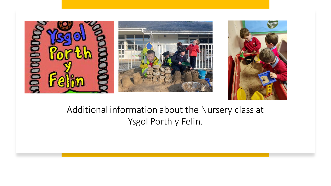

#### Additional information about the Nursery class at Ysgol Porth y Felin.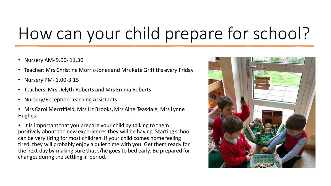## How can your child prepare for school?

- Nursery AM- 9.00- 11.30
- Teacher: Mrs Christine Morris-Jones and Mrs Kate Griffiths every Friday
- Nursery PM- 1.00-3.15
- Teachers: Mrs Delyth Roberts and Mrs Emma Roberts
- Nursery/Reception Teaching Assistants:
- Mrs Carol Merrrifield, Mrs Liz Brooks, Mrs Aine Teasdale, Mrs Lynne Hughes
- It is important that you prepare your child by talking to them positively about the new experiences they will be having. Starting school can be very tiring for most children. If your child comes home feeling tired, they will probably enjoy a quiet time with you. Get them ready for the next day by making sure that s/he goes to bed early. Be prepared for changes during the settling in period.

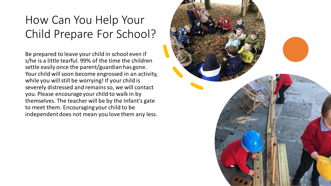#### How Can You Help Your Child Prepare For School?

Be prepared to leave your child in school even if s/he is a little tearful. 99% of the time the children settle easily once the parent/guardian has gone. Your child will soon become engrossed in an activity, while you will still be worrying! If your child is severely distressed and remains so, we will contact you. Please encourage your child to walk in by themselves. The teacher will be by the Infant's gate to meet them. Encouraging your child to be independent does not mean you love them any less.

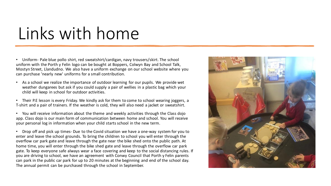## Links with home

• Uniform- Pale blue pollo shirt, red sweatshirt/cardigan, navy trousers/skirt. The school uniform with the Porth y Felin logo can be bought at Boppers, Colwyn Bay and School Talk, Mostyn Street, Llandudno. We also have a uniform exchange on our school website where you can purchase 'nearly new' uniforms for a small contribution.

- As a school we realize the importance of outdoor learning for our pupils. We provide wet weather dungarees but ask if you could supply a pair of wellies in a plastic bag which your child will keep in school for outdoor activities.
- Their P.E lesson is every Friday. We kindly ask for them to come to school wearing joggers, a T-shirt and a pair of trainers. If the weather is cold, they will also need a jacket or sweatshirt.
- You will receive information about the theme and weekly activities through the Class dojo app. Class dojo is our main form of communication between home and school. You will receive your personal log in information when your child starts school in the new term.

• Drop off and pick up times- Due to the Covid situation we have a one-way system for you to enter and leave the school grounds. To bring the children to school you will enter through the overflow car park gate and leave through the gate near the bike shed onto the public path. At home time, you will enter through the bike shed gate and leave through the overflow car park gate. To keep everyone safe always wear a face covering and keep to the social distancing rules. If you are driving to school, we have an agreement with Conwy Council that Porth y Felin parents can park in the public car park for up to 20 minutes at the beginning and end of the school day. The annual permit can be purchased through the school in September.

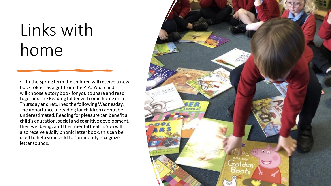## Links with home

• In the Spring term the children will receive a new book folder as a gift from the PTA. Your child will choose a story book for you to share and read together. The Reading folder will come home on a Thursday and returned the following Wednesday. The importance of reading for children cannot be underestimated. Reading for pleasure can benefit a child's education, social and cognitive development, their wellbeing, and their mental health. You will also receive a Jolly phonic letter book, this can be used to help your child to confidently recognize letter sounds.

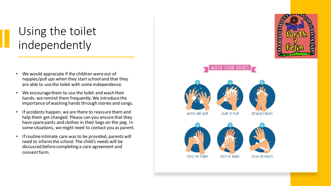#### Using the toilet independently

- We would appreciate if the children were out of nappies/pull ups when they start school and that they are able to use the toilet with some independence.
- We encourage them to use the toilet and wash their hands- we remind them frequently. We introduce the importance of washing hands through stories and songs.
- If accidents happen, we are there to reassure them and help them get changed. Please can you ensure that they have spare pants and clothes in their bags on the peg. In some situations, we might need to contact you as parent.
- If routine intimate care was to be provided, parents will need to inform the school. The child's needs will be discussed before completing a care agreement and consent form.













FOCUS ON WHISTS